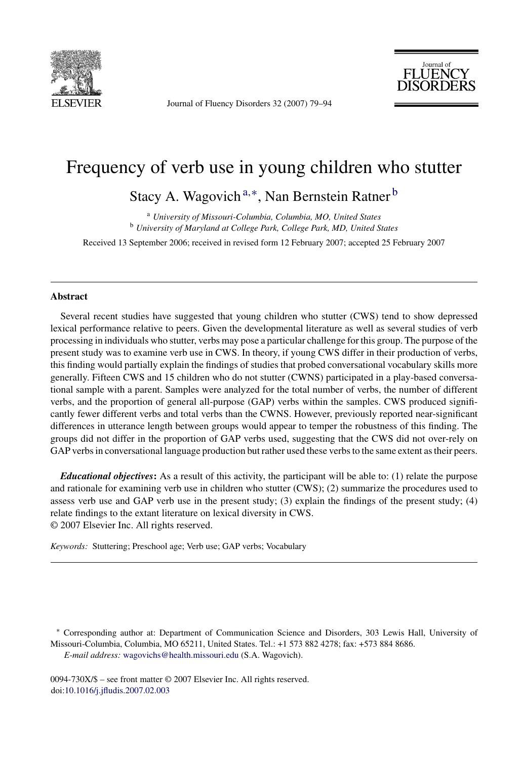

Journal of Fluency Disorders 32 (2007) 79–94



# Frequency of verb use in young children who stutter

Stacy A. Wagovich <sup>a</sup>,∗, Nan Bernstein Ratner <sup>b</sup>

<sup>a</sup> *University of Missouri-Columbia, Columbia, MO, United States* <sup>b</sup> *University of Maryland at College Park, College Park, MD, United States*

Received 13 September 2006; received in revised form 12 February 2007; accepted 25 February 2007

#### **Abstract**

Several recent studies have suggested that young children who stutter (CWS) tend to show depressed lexical performance relative to peers. Given the developmental literature as well as several studies of verb processing in individuals who stutter, verbs may pose a particular challenge for this group. The purpose of the present study was to examine verb use in CWS. In theory, if young CWS differ in their production of verbs, this finding would partially explain the findings of studies that probed conversational vocabulary skills more generally. Fifteen CWS and 15 children who do not stutter (CWNS) participated in a play-based conversational sample with a parent. Samples were analyzed for the total number of verbs, the number of different verbs, and the proportion of general all-purpose (GAP) verbs within the samples. CWS produced significantly fewer different verbs and total verbs than the CWNS. However, previously reported near-significant differences in utterance length between groups would appear to temper the robustness of this finding. The groups did not differ in the proportion of GAP verbs used, suggesting that the CWS did not over-rely on GAP verbs in conversational language production but rather used these verbs to the same extent as their peers.

*Educational objectives***:** As a result of this activity, the participant will be able to: (1) relate the purpose and rationale for examining verb use in children who stutter (CWS); (2) summarize the procedures used to assess verb use and GAP verb use in the present study; (3) explain the findings of the present study; (4) relate findings to the extant literature on lexical diversity in CWS. © 2007 Elsevier Inc. All rights reserved.

*Keywords:* Stuttering; Preschool age; Verb use; GAP verbs; Vocabulary

<sup>∗</sup> Corresponding author at: Department of Communication Science and Disorders, 303 Lewis Hall, University of Missouri-Columbia, Columbia, MO 65211, United States. Tel.: +1 573 882 4278; fax: +573 884 8686. *E-mail address:* [wagovichs@health.missouri.edu](mailto:wagovichs@health.missouri.edu) (S.A. Wagovich).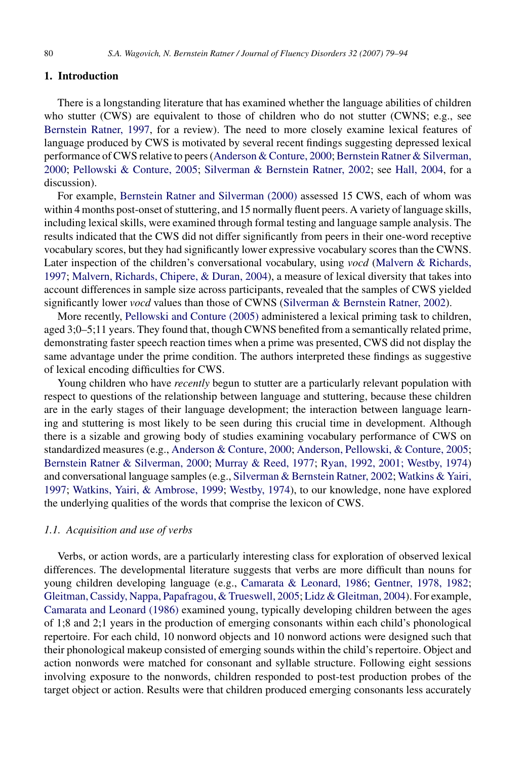## **1. Introduction**

There is a longstanding literature that has examined whether the language abilities of children who stutter (CWS) are equivalent to those of children who do not stutter (CWNS; e.g., see [Bernstein Ratner, 1997,](#page-13-0) for a review). The need to more closely examine lexical features of language produced by CWS is motivated by several recent findings suggesting depressed lexical performance of CWS relative to peers [\(Anderson & Conture, 2000;](#page-13-0) [Bernstein Ratner & Silverman,](#page-14-0) [2000;](#page-14-0) [Pellowski & Conture, 2005;](#page-15-0) [Silverman & Bernstein Ratner, 2002;](#page-15-0) see [Hall, 2004,](#page-14-0) for a discussion).

For example, [Bernstein Ratner and Silverman \(2000\)](#page-14-0) assessed 15 CWS, each of whom was within 4 months post-onset of stuttering, and 15 normally fluent peers. A variety of language skills, including lexical skills, were examined through formal testing and language sample analysis. The results indicated that the CWS did not differ significantly from peers in their one-word receptive vocabulary scores, but they had significantly lower expressive vocabulary scores than the CWNS. Later inspection of the children's conversational vocabulary, using *vocd* ([Malvern & Richards,](#page-14-0) [1997;](#page-14-0) [Malvern, Richards, Chipere, & Duran, 2004\),](#page-14-0) a measure of lexical diversity that takes into account differences in sample size across participants, revealed that the samples of CWS yielded significantly lower *vocd* values than those of CWNS ([Silverman & Bernstein Ratner, 2002\).](#page-15-0)

More recently, [Pellowski and Conture \(2005\)](#page-15-0) administered a lexical priming task to children, aged 3;0–5;11 years. They found that, though CWNS benefited from a semantically related prime, demonstrating faster speech reaction times when a prime was presented, CWS did not display the same advantage under the prime condition. The authors interpreted these findings as suggestive of lexical encoding difficulties for CWS.

Young children who have *recently* begun to stutter are a particularly relevant population with respect to questions of the relationship between language and stuttering, because these children are in the early stages of their language development; the interaction between language learning and stuttering is most likely to be seen during this crucial time in development. Although there is a sizable and growing body of studies examining vocabulary performance of CWS on standardized measures (e.g., [Anderson & Conture, 2000;](#page-13-0) [Anderson, Pellowski, & Conture, 2005;](#page-13-0) [Bernstein Ratner & Silverman, 2000;](#page-14-0) [Murray & Reed, 1977;](#page-14-0) [Ryan, 1992, 2001; Westby, 1974\)](#page-15-0) and conversational language samples (e.g., [Silverman & Bernstein Ratner, 2002;](#page-15-0) [Watkins & Yairi,](#page-15-0) [1997;](#page-15-0) [Watkins, Yairi, & Ambrose, 1999;](#page-15-0) [Westby, 1974\),](#page-15-0) to our knowledge, none have explored the underlying qualities of the words that comprise the lexicon of CWS.

#### *1.1. Acquisition and use of verbs*

Verbs, or action words, are a particularly interesting class for exploration of observed lexical differences. The developmental literature suggests that verbs are more difficult than nouns for young children developing language (e.g., [Camarata & Leonard, 1986;](#page-14-0) [Gentner, 1978, 1982;](#page-14-0) [Gleitman, Cassidy, Nappa, Papafragou, & Trueswell, 2005;](#page-14-0) [Lidz & Gleitman, 2004\).](#page-14-0) For example, [Camarata and Leonard \(1986\)](#page-14-0) examined young, typically developing children between the ages of 1;8 and 2;1 years in the production of emerging consonants within each child's phonological repertoire. For each child, 10 nonword objects and 10 nonword actions were designed such that their phonological makeup consisted of emerging sounds within the child's repertoire. Object and action nonwords were matched for consonant and syllable structure. Following eight sessions involving exposure to the nonwords, children responded to post-test production probes of the target object or action. Results were that children produced emerging consonants less accurately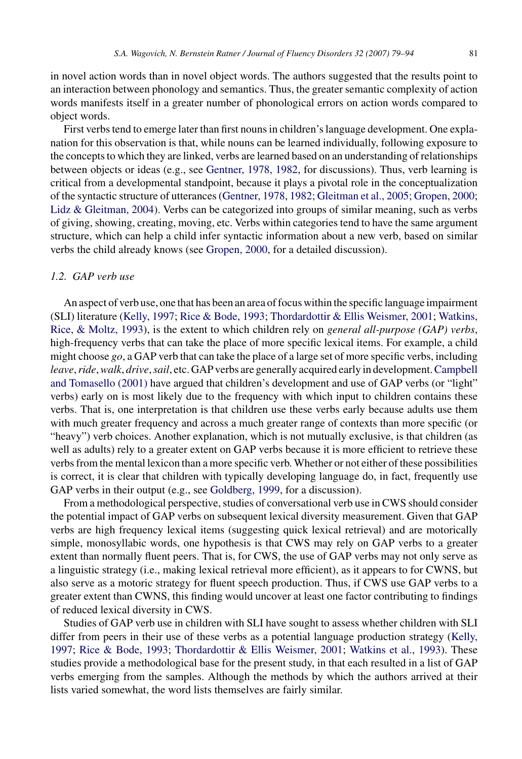in novel action words than in novel object words. The authors suggested that the results point to an interaction between phonology and semantics. Thus, the greater semantic complexity of action words manifests itself in a greater number of phonological errors on action words compared to object words.

First verbs tend to emerge later than first nouns in children's language development. One explanation for this observation is that, while nouns can be learned individually, following exposure to the concepts to which they are linked, verbs are learned based on an understanding of relationships between objects or ideas (e.g., see [Gentner, 1978, 1982, f](#page-14-0)or discussions). Thus, verb learning is critical from a developmental standpoint, because it plays a pivotal role in the conceptualization of the syntactic structure of utterances [\(Gentner, 1978, 1982; Gleitman et al., 2005; Gropen, 2000;](#page-14-0) [Lidz & Gleitman, 2004\).](#page-14-0) Verbs can be categorized into groups of similar meaning, such as verbs of giving, showing, creating, moving, etc. Verbs within categories tend to have the same argument structure, which can help a child infer syntactic information about a new verb, based on similar verbs the child already knows (see [Gropen, 2000,](#page-14-0) for a detailed discussion).

#### *1.2. GAP verb use*

An aspect of verb use, one that has been an area of focus within the specific language impairment (SLI) literature [\(Kelly, 1997;](#page-14-0) [Rice & Bode, 1993;](#page-15-0) [Thordardottir & Ellis Weismer, 2001;](#page-15-0) [Watkins,](#page-15-0) [Rice, & Moltz, 1993\),](#page-15-0) is the extent to which children rely on *general all-purpose (GAP) verbs*, high-frequency verbs that can take the place of more specific lexical items. For example, a child might choose *go*, a GAP verb that can take the place of a large set of more specific verbs, including *leave*,*ride*,*walk*, *drive*,*sail*, etc. GAP verbs are generally acquired early in development.[Campbell](#page-14-0) [and Tomasello \(2001\)](#page-14-0) have argued that children's development and use of GAP verbs (or "light" verbs) early on is most likely due to the frequency with which input to children contains these verbs. That is, one interpretation is that children use these verbs early because adults use them with much greater frequency and across a much greater range of contexts than more specific (or "heavy") verb choices. Another explanation, which is not mutually exclusive, is that children (as well as adults) rely to a greater extent on GAP verbs because it is more efficient to retrieve these verbs from the mental lexicon than a more specific verb. Whether or not either of these possibilities is correct, it is clear that children with typically developing language do, in fact, frequently use GAP verbs in their output (e.g., see [Goldberg, 1999, f](#page-14-0)or a discussion).

From a methodological perspective, studies of conversational verb use in CWS should consider the potential impact of GAP verbs on subsequent lexical diversity measurement. Given that GAP verbs are high frequency lexical items (suggesting quick lexical retrieval) and are motorically simple, monosyllabic words, one hypothesis is that CWS may rely on GAP verbs to a greater extent than normally fluent peers. That is, for CWS, the use of GAP verbs may not only serve as a linguistic strategy (i.e., making lexical retrieval more efficient), as it appears to for CWNS, but also serve as a motoric strategy for fluent speech production. Thus, if CWS use GAP verbs to a greater extent than CWNS, this finding would uncover at least one factor contributing to findings of reduced lexical diversity in CWS.

Studies of GAP verb use in children with SLI have sought to assess whether children with SLI differ from peers in their use of these verbs as a potential language production strategy ([Kelly,](#page-14-0) [1997;](#page-14-0) [Rice & Bode, 1993;](#page-15-0) [Thordardottir & Ellis Weismer, 2001;](#page-15-0) [Watkins et al., 1993\).](#page-15-0) These studies provide a methodological base for the present study, in that each resulted in a list of GAP verbs emerging from the samples. Although the methods by which the authors arrived at their lists varied somewhat, the word lists themselves are fairly similar.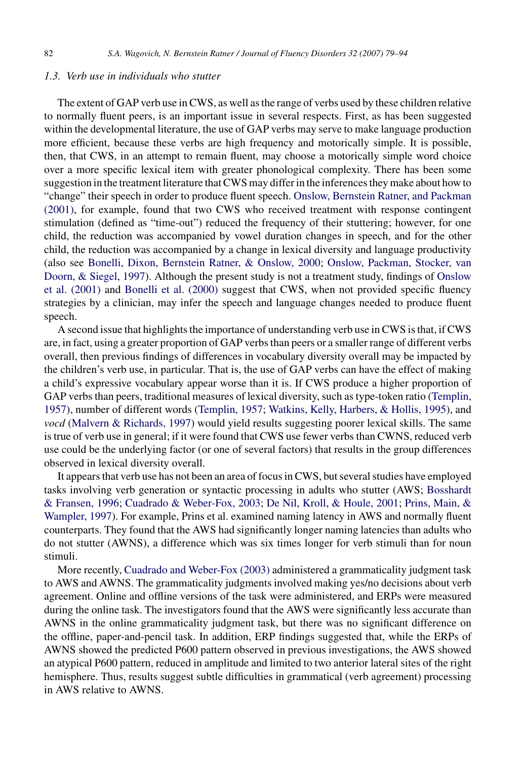#### *1.3. Verb use in individuals who stutter*

The extent of GAP verb use in CWS, as well as the range of verbs used by these children relative to normally fluent peers, is an important issue in several respects. First, as has been suggested within the developmental literature, the use of GAP verbs may serve to make language production more efficient, because these verbs are high frequency and motorically simple. It is possible, then, that CWS, in an attempt to remain fluent, may choose a motorically simple word choice over a more specific lexical item with greater phonological complexity. There has been some suggestion in the treatment literature that CWS may differ in the inferences they make about how to "change" their speech in order to produce fluent speech. [Onslow, Bernstein Ratner, and Packman](#page-14-0) [\(2001\),](#page-14-0) for example, found that two CWS who received treatment with response contingent stimulation (defined as "time-out") reduced the frequency of their stuttering; however, for one child, the reduction was accompanied by vowel duration changes in speech, and for the other child, the reduction was accompanied by a change in lexical diversity and language productivity (also see [Bonelli, Dixon, Bernstein Ratner, & Onslow, 2000;](#page-14-0) [Onslow, Packman, Stocker, van](#page-15-0) [Doorn, & Siegel, 1997\).](#page-15-0) Although the present study is not a treatment study, findings of [Onslow](#page-14-0) [et al. \(2001\)](#page-14-0) and [Bonelli et al. \(2000\)](#page-14-0) suggest that CWS, when not provided specific fluency strategies by a clinician, may infer the speech and language changes needed to produce fluent speech.

A second issue that highlights the importance of understanding verb use in CWS is that, if CWS are, in fact, using a greater proportion of GAP verbs than peers or a smaller range of different verbs overall, then previous findings of differences in vocabulary diversity overall may be impacted by the children's verb use, in particular. That is, the use of GAP verbs can have the effect of making a child's expressive vocabulary appear worse than it is. If CWS produce a higher proportion of GAP verbs than peers, traditional measures of lexical diversity, such as type-token ratio ([Templin,](#page-15-0) [1957\),](#page-15-0) number of different words ([Templin, 1957;](#page-15-0) [Watkins, Kelly, Harbers, & Hollis, 1995\),](#page-15-0) and *vocd* [\(Malvern & Richards, 1997\)](#page-14-0) would yield results suggesting poorer lexical skills. The same is true of verb use in general; if it were found that CWS use fewer verbs than CWNS, reduced verb use could be the underlying factor (or one of several factors) that results in the group differences observed in lexical diversity overall.

It appears that verb use has not been an area of focus in CWS, but several studies have employed tasks involving verb generation or syntactic processing in adults who stutter (AWS; [Bosshardt](#page-14-0) [& Fransen, 1996;](#page-14-0) [Cuadrado & Weber-Fox, 2003;](#page-14-0) [De Nil, Kroll, & Houle, 2001;](#page-14-0) [Prins, Main, &](#page-15-0) [Wampler, 1997\).](#page-15-0) For example, Prins et al. examined naming latency in AWS and normally fluent counterparts. They found that the AWS had significantly longer naming latencies than adults who do not stutter (AWNS), a difference which was six times longer for verb stimuli than for noun stimuli.

More recently, [Cuadrado and Weber-Fox \(2003\)](#page-14-0) administered a grammaticality judgment task to AWS and AWNS. The grammaticality judgments involved making yes/no decisions about verb agreement. Online and offline versions of the task were administered, and ERPs were measured during the online task. The investigators found that the AWS were significantly less accurate than AWNS in the online grammaticality judgment task, but there was no significant difference on the offline, paper-and-pencil task. In addition, ERP findings suggested that, while the ERPs of AWNS showed the predicted P600 pattern observed in previous investigations, the AWS showed an atypical P600 pattern, reduced in amplitude and limited to two anterior lateral sites of the right hemisphere. Thus, results suggest subtle difficulties in grammatical (verb agreement) processing in AWS relative to AWNS.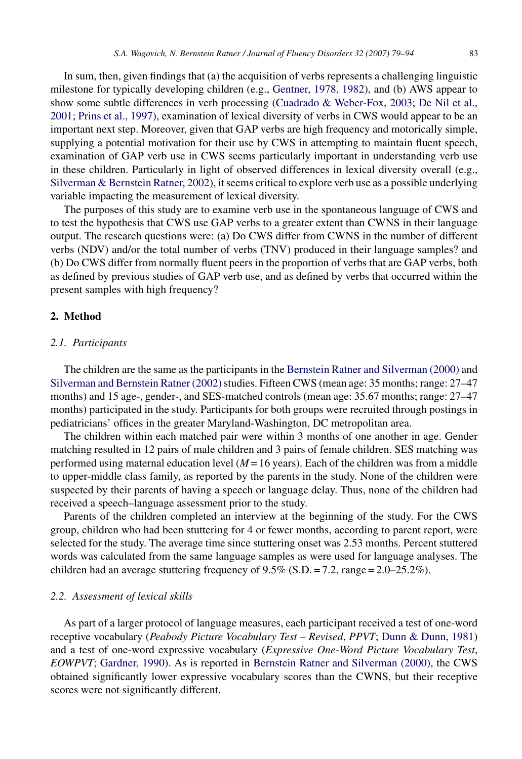In sum, then, given findings that (a) the acquisition of verbs represents a challenging linguistic milestone for typically developing children (e.g., [Gentner, 1978, 1982\),](#page-14-0) and (b) AWS appear to show some subtle differences in verb processing [\(Cuadrado & Weber-Fox, 2003;](#page-14-0) [De Nil et al.,](#page-14-0) [2001; Prins et al., 1997\),](#page-14-0) examination of lexical diversity of verbs in CWS would appear to be an important next step. Moreover, given that GAP verbs are high frequency and motorically simple, supplying a potential motivation for their use by CWS in attempting to maintain fluent speech, examination of GAP verb use in CWS seems particularly important in understanding verb use in these children. Particularly in light of observed differences in lexical diversity overall (e.g., [Silverman & Bernstein Ratner, 2002\),](#page-15-0) it seems critical to explore verb use as a possible underlying variable impacting the measurement of lexical diversity.

The purposes of this study are to examine verb use in the spontaneous language of CWS and to test the hypothesis that CWS use GAP verbs to a greater extent than CWNS in their language output. The research questions were: (a) Do CWS differ from CWNS in the number of different verbs (NDV) and/or the total number of verbs (TNV) produced in their language samples? and (b) Do CWS differ from normally fluent peers in the proportion of verbs that are GAP verbs, both as defined by previous studies of GAP verb use, and as defined by verbs that occurred within the present samples with high frequency?

## **2. Method**

#### *2.1. Participants*

The children are the same as the participants in the [Bernstein Ratner and Silverman \(2000\)](#page-14-0) and Silverman and Bernstein Ratner (2002) studies. Fifteen CWS (mean age: 35 months; range: 27–47 months) and 15 age-, gender-, and SES-matched controls (mean age: 35.67 months; range: 27–47 months) participated in the study. Participants for both groups were recruited through postings in pediatricians' offices in the greater Maryland-Washington, DC metropolitan area.

The children within each matched pair were within 3 months of one another in age. Gender matching resulted in 12 pairs of male children and 3 pairs of female children. SES matching was performed using maternal education level  $(M = 16$  years). Each of the children was from a middle to upper-middle class family, as reported by the parents in the study. None of the children were suspected by their parents of having a speech or language delay. Thus, none of the children had received a speech–language assessment prior to the study.

Parents of the children completed an interview at the beginning of the study. For the CWS group, children who had been stuttering for 4 or fewer months, according to parent report, were selected for the study. The average time since stuttering onset was 2.53 months. Percent stuttered words was calculated from the same language samples as were used for language analyses. The children had an average stuttering frequency of  $9.5\%$  (S.D. = 7.2, range = 2.0–25.2%).

#### *2.2. Assessment of lexical skills*

As part of a larger protocol of language measures, each participant received a test of one-word receptive vocabulary (*Peabody Picture Vocabulary Test – Revised*, *PPVT*; [Dunn & Dunn, 1981\)](#page-14-0) and a test of one-word expressive vocabulary (*Expressive One-Word Picture Vocabulary Test*, *EOWPVT*; [Gardner, 1990\).](#page-14-0) As is reported in [Bernstein Ratner and Silverman \(2000\),](#page-14-0) the CWS obtained significantly lower expressive vocabulary scores than the CWNS, but their receptive scores were not significantly different.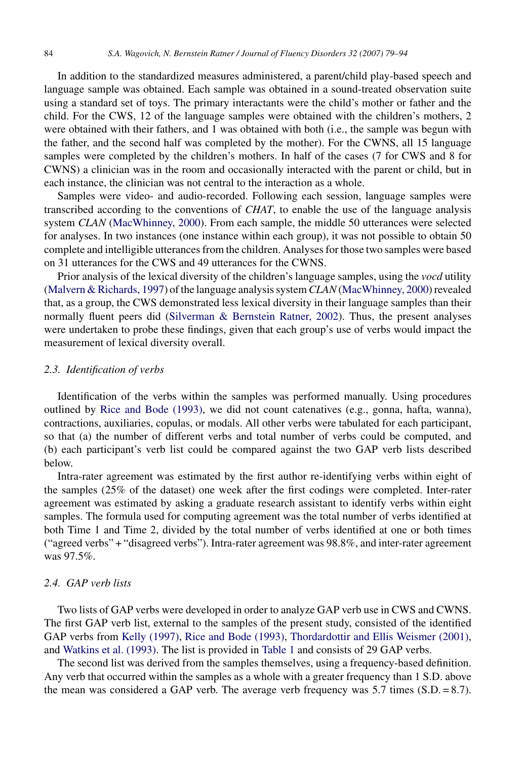In addition to the standardized measures administered, a parent/child play-based speech and language sample was obtained. Each sample was obtained in a sound-treated observation suite using a standard set of toys. The primary interactants were the child's mother or father and the child. For the CWS, 12 of the language samples were obtained with the children's mothers, 2 were obtained with their fathers, and 1 was obtained with both (i.e., the sample was begun with the father, and the second half was completed by the mother). For the CWNS, all 15 language samples were completed by the children's mothers. In half of the cases (7 for CWS and 8 for CWNS) a clinician was in the room and occasionally interacted with the parent or child, but in each instance, the clinician was not central to the interaction as a whole.

Samples were video- and audio-recorded. Following each session, language samples were transcribed according to the conventions of *CHAT*, to enable the use of the language analysis system *CLAN* ([MacWhinney, 2000\).](#page-14-0) From each sample, the middle 50 utterances were selected for analyses. In two instances (one instance within each group), it was not possible to obtain 50 complete and intelligible utterances from the children. Analyses for those two samples were based on 31 utterances for the CWS and 49 utterances for the CWNS.

Prior analysis of the lexical diversity of the children's language samples, using the *vocd* utility ([Malvern & Richards, 1997\) o](#page-14-0)f the language analysis system *CLAN*[\(MacWhinney, 2000\) r](#page-14-0)evealed that, as a group, the CWS demonstrated less lexical diversity in their language samples than their normally fluent peers did [\(Silverman & Bernstein Ratner, 2002\).](#page-15-0) Thus, the present analyses were undertaken to probe these findings, given that each group's use of verbs would impact the measurement of lexical diversity overall.

## *2.3. Identification of verbs*

Identification of the verbs within the samples was performed manually. Using procedures outlined by [Rice and Bode \(1993\),](#page-15-0) we did not count catenatives (e.g., gonna, hafta, wanna), contractions, auxiliaries, copulas, or modals. All other verbs were tabulated for each participant, so that (a) the number of different verbs and total number of verbs could be computed, and (b) each participant's verb list could be compared against the two GAP verb lists described below.

Intra-rater agreement was estimated by the first author re-identifying verbs within eight of the samples (25% of the dataset) one week after the first codings were completed. Inter-rater agreement was estimated by asking a graduate research assistant to identify verbs within eight samples. The formula used for computing agreement was the total number of verbs identified at both Time 1 and Time 2, divided by the total number of verbs identified at one or both times ("agreed verbs" + "disagreed verbs"). Intra-rater agreement was 98.8%, and inter-rater agreement was 97.5%.

## *2.4. GAP verb lists*

Two lists of GAP verbs were developed in order to analyze GAP verb use in CWS and CWNS. The first GAP verb list, external to the samples of the present study, consisted of the identified GAP verbs from [Kelly \(1997\),](#page-14-0) [Rice and Bode \(1993\),](#page-15-0) [Thordardottir and Ellis Weismer \(2001\),](#page-15-0) and [Watkins et al. \(1993\). T](#page-15-0)he list is provided in [Table 1](#page-6-0) and consists of 29 GAP verbs.

The second list was derived from the samples themselves, using a frequency-based definition. Any verb that occurred within the samples as a whole with a greater frequency than 1 S.D. above the mean was considered a GAP verb. The average verb frequency was 5.7 times (S.D. = 8.7).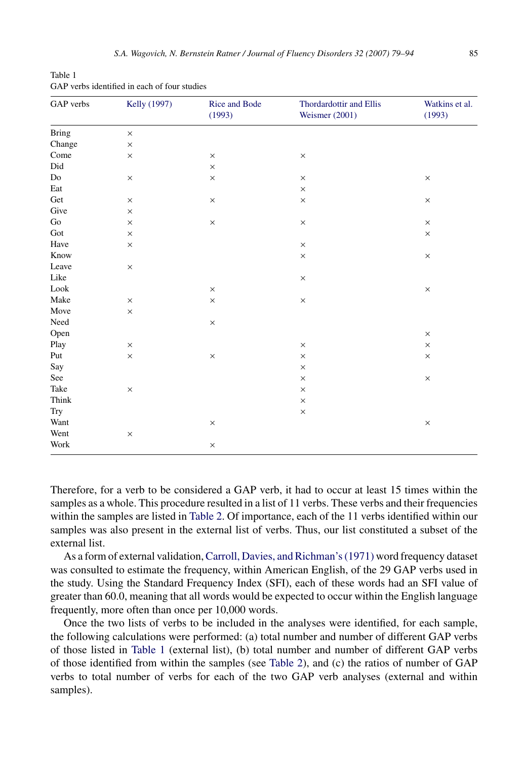| GAP verbs             | Kelly (1997) | Rice and Bode<br>(1993) | Thordardottir and Ellis<br>Weismer (2001) | Watkins et al.<br>(1993) |
|-----------------------|--------------|-------------------------|-------------------------------------------|--------------------------|
| <b>Bring</b>          | $\times$     |                         |                                           |                          |
| Change                | $\times$     |                         |                                           |                          |
| $\operatorname{Come}$ | $\times$     | $\times$                | $\times$                                  |                          |
| Did                   |              | $\times$                |                                           |                          |
| $\operatorname{Do}$   | $\times$     | $\times$                | $\times$                                  | $\times$                 |
| Eat                   |              |                         | $\times$                                  |                          |
| Get                   | $\times$     | $\times$                | $\times$                                  | $\times$                 |
| Give                  | $\times$     |                         |                                           |                          |
| $\rm{Go}$             | $\times$     | $\times$                | $\times$                                  | $\times$                 |
| $\rm Got$             | $\times$     |                         |                                           | $\times$                 |
| Have                  | $\times$     |                         | $\times$                                  |                          |
| Know                  |              |                         | $\times$                                  | $\times$                 |
| Leave                 | $\times$     |                         |                                           |                          |
| Like                  |              |                         | $\times$                                  |                          |
| Look                  |              | $\times$                |                                           | $\times$                 |
| Make                  | $\times$     | $\times$                | $\times$                                  |                          |
| Move                  | $\times$     |                         |                                           |                          |
| Need                  |              | $\times$                |                                           |                          |
| Open                  |              |                         |                                           | $\times$                 |
| Play                  | $\times$     |                         | $\times$                                  | $\times$                 |
| Put                   | $\times$     | $\times$                | $\times$                                  | $\times$                 |
| Say                   |              |                         | $\times$                                  |                          |
| See                   |              |                         | $\times$                                  | $\times$                 |
| Take                  | $\times$     |                         | $\times$                                  |                          |
| Think                 |              |                         | $\times$                                  |                          |
| Try                   |              |                         | $\times$                                  |                          |
| Want                  |              | $\times$                |                                           | $\times$                 |
| Went                  | $\times$     |                         |                                           |                          |
| Work                  |              | $\times$                |                                           |                          |

<span id="page-6-0"></span>Table 1 GAP verbs identified in each of four studies

Therefore, for a verb to be considered a GAP verb, it had to occur at least 15 times within the samples as a whole. This procedure resulted in a list of 11 verbs. These verbs and their frequencies within the samples are listed in [Table 2. O](#page-7-0)f importance, each of the 11 verbs identified within our samples was also present in the external list of verbs. Thus, our list constituted a subset of the external list.

As a form of external validation,[Carroll, Davies, and Richman's \(1971\)](#page-14-0) word frequency dataset was consulted to estimate the frequency, within American English, of the 29 GAP verbs used in the study. Using the Standard Frequency Index (SFI), each of these words had an SFI value of greater than 60.0, meaning that all words would be expected to occur within the English language frequently, more often than once per 10,000 words.

Once the two lists of verbs to be included in the analyses were identified, for each sample, the following calculations were performed: (a) total number and number of different GAP verbs of those listed in Table 1 (external list), (b) total number and number of different GAP verbs of those identified from within the samples (see [Table 2\),](#page-7-0) and (c) the ratios of number of GAP verbs to total number of verbs for each of the two GAP verb analyses (external and within samples).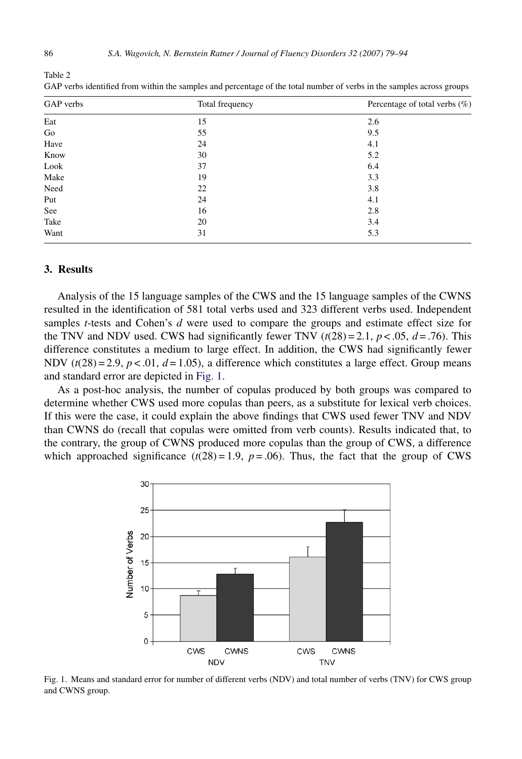| GAP verbs | Total frequency | Percentage of total verbs $(\%)$ |
|-----------|-----------------|----------------------------------|
| Eat       | 15              | 2.6                              |
| Go        | 55              | 9.5                              |
| Have      | 24              | 4.1                              |
| Know      | 30              | 5.2                              |
| Look      | 37              | 6.4                              |
| Make      | 19              | 3.3                              |
| Need      | 22              | 3.8                              |
| Put       | 24              | 4.1                              |
| See       | 16              | 2.8                              |
| Take      | 20              | 3.4                              |
| Want      | 31              | 5.3                              |

GAP verbs identified from within the samples and percentage of the total number of verbs in the samples across groups

## **3. Results**

Analysis of the 15 language samples of the CWS and the 15 language samples of the CWNS resulted in the identification of 581 total verbs used and 323 different verbs used. Independent samples *t*-tests and Cohen's *d* were used to compare the groups and estimate effect size for the TNV and NDV used. CWS had significantly fewer TNV  $(t(28) = 2.1, p < .05, d = .76)$ . This difference constitutes a medium to large effect. In addition, the CWS had significantly fewer NDV  $(t(28) = 2.9, p < 0.01, d = 1.05)$ , a difference which constitutes a large effect. Group means and standard error are depicted in Fig. 1.

As a post-hoc analysis, the number of copulas produced by both groups was compared to determine whether CWS used more copulas than peers, as a substitute for lexical verb choices. If this were the case, it could explain the above findings that CWS used fewer TNV and NDV than CWNS do (recall that copulas were omitted from verb counts). Results indicated that, to the contrary, the group of CWNS produced more copulas than the group of CWS, a difference which approached significance  $(t(28) = 1.9, p = .06)$ . Thus, the fact that the group of CWS



Fig. 1. Means and standard error for number of different verbs (NDV) and total number of verbs (TNV) for CWS group and CWNS group.

<span id="page-7-0"></span>Table 2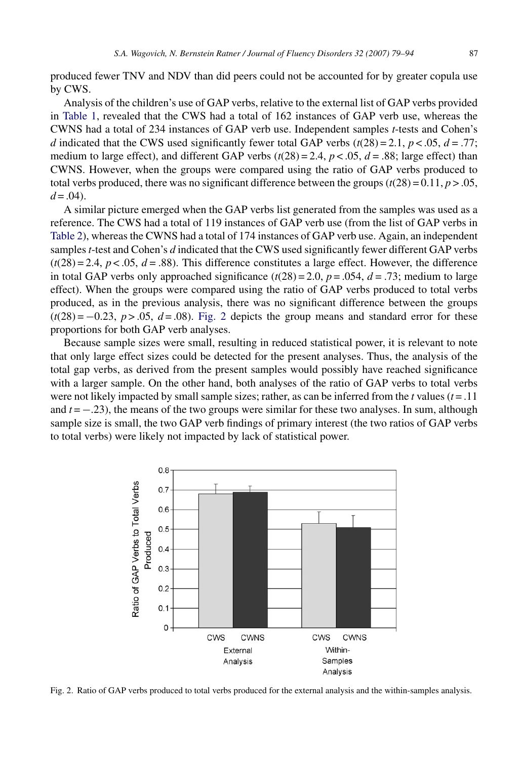produced fewer TNV and NDV than did peers could not be accounted for by greater copula use by CWS.

Analysis of the children's use of GAP verbs, relative to the external list of GAP verbs provided in [Table 1,](#page-6-0) revealed that the CWS had a total of 162 instances of GAP verb use, whereas the CWNS had a total of 234 instances of GAP verb use. Independent samples *t*-tests and Cohen's *d* indicated that the CWS used significantly fewer total GAP verbs  $(t(28) = 2.1, p < .05, d = .77;$ medium to large effect), and different GAP verbs  $(t(28) = 2.4, p < .05, d = .88$ ; large effect) than CWNS. However, when the groups were compared using the ratio of GAP verbs produced to total verbs produced, there was no significant difference between the groups  $(t(28) = 0.11, p > .05,$  $d = .04$ ).

A similar picture emerged when the GAP verbs list generated from the samples was used as a reference. The CWS had a total of 119 instances of GAP verb use (from the list of GAP verbs in [Table 2\),](#page-7-0) whereas the CWNS had a total of 174 instances of GAP verb use. Again, an independent samples *t*-test and Cohen's *d* indicated that the CWS used significantly fewer different GAP verbs  $(t(28) = 2.4, p < .05, d = .88)$ . This difference constitutes a large effect. However, the difference in total GAP verbs only approached significance  $(t(28) = 2.0, p = .054, d = .73$ ; medium to large effect). When the groups were compared using the ratio of GAP verbs produced to total verbs produced, as in the previous analysis, there was no significant difference between the groups  $(t(28) = -0.23, p > 0.05, d = 0.08)$ . Fig. 2 depicts the group means and standard error for these proportions for both GAP verb analyses.

Because sample sizes were small, resulting in reduced statistical power, it is relevant to note that only large effect sizes could be detected for the present analyses. Thus, the analysis of the total gap verbs, as derived from the present samples would possibly have reached significance with a larger sample. On the other hand, both analyses of the ratio of GAP verbs to total verbs were not likely impacted by small sample sizes; rather, as can be inferred from the *t* values ( $t = .11$ ) and *t* = −.23), the means of the two groups were similar for these two analyses. In sum, although sample size is small, the two GAP verb findings of primary interest (the two ratios of GAP verbs to total verbs) were likely not impacted by lack of statistical power.



Fig. 2. Ratio of GAP verbs produced to total verbs produced for the external analysis and the within-samples analysis.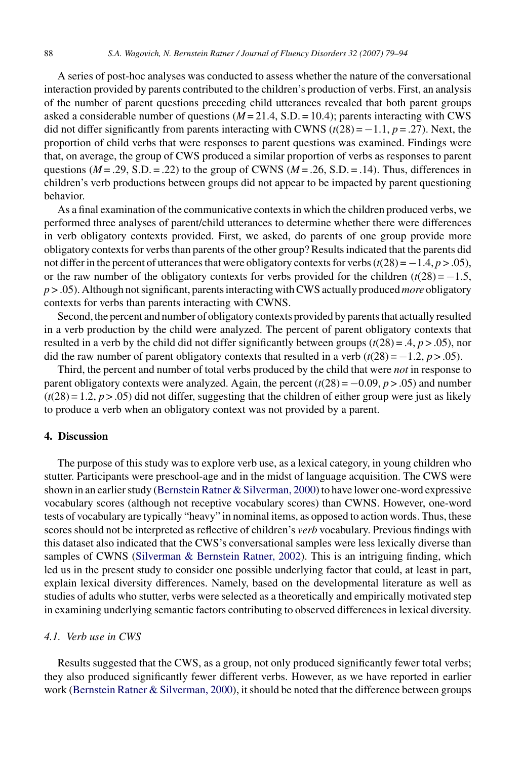A series of post-hoc analyses was conducted to assess whether the nature of the conversational interaction provided by parents contributed to the children's production of verbs. First, an analysis of the number of parent questions preceding child utterances revealed that both parent groups asked a considerable number of questions  $(M = 21.4, S.D. = 10.4)$ ; parents interacting with CWS did not differ significantly from parents interacting with CWNS  $(t(28) = -1.1, p = .27)$ . Next, the proportion of child verbs that were responses to parent questions was examined. Findings were that, on average, the group of CWS produced a similar proportion of verbs as responses to parent questions ( $M = .29$ , S.D. = .22) to the group of CWNS ( $M = .26$ , S.D. = .14). Thus, differences in children's verb productions between groups did not appear to be impacted by parent questioning behavior.

As a final examination of the communicative contexts in which the children produced verbs, we performed three analyses of parent/child utterances to determine whether there were differences in verb obligatory contexts provided. First, we asked, do parents of one group provide more obligatory contexts for verbs than parents of the other group? Results indicated that the parents did not differ in the percent of utterances that were obligatory contexts for verbs (*t*(28) = −1.4, *p* > .05), or the raw number of the obligatory contexts for verbs provided for the children  $(t(28) = -1.5$ , *p* > .05). Although not significant, parents interacting with CWS actually produced*more* obligatory contexts for verbs than parents interacting with CWNS.

Second, the percent and number of obligatory contexts provided by parents that actually resulted in a verb production by the child were analyzed. The percent of parent obligatory contexts that resulted in a verb by the child did not differ significantly between groups  $(t(28) = .4, p > .05)$ , nor did the raw number of parent obligatory contexts that resulted in a verb  $(t(28) = -1.2, p > .05)$ .

Third, the percent and number of total verbs produced by the child that were *not* in response to parent obligatory contexts were analyzed. Again, the percent  $(t(28) = -0.09, p > 0.05)$  and number  $(t(28) = 1.2, p > .05)$  did not differ, suggesting that the children of either group were just as likely to produce a verb when an obligatory context was not provided by a parent.

## **4. Discussion**

The purpose of this study was to explore verb use, as a lexical category, in young children who stutter. Participants were preschool-age and in the midst of language acquisition. The CWS were shown in an earlier study ([Bernstein Ratner & Silverman, 2000\) t](#page-14-0)o have lower one-word expressive vocabulary scores (although not receptive vocabulary scores) than CWNS. However, one-word tests of vocabulary are typically "heavy" in nominal items, as opposed to action words. Thus, these scores should not be interpreted as reflective of children's *verb* vocabulary. Previous findings with this dataset also indicated that the CWS's conversational samples were less lexically diverse than samples of CWNS [\(Silverman & Bernstein Ratner, 2002\).](#page-15-0) This is an intriguing finding, which led us in the present study to consider one possible underlying factor that could, at least in part, explain lexical diversity differences. Namely, based on the developmental literature as well as studies of adults who stutter, verbs were selected as a theoretically and empirically motivated step in examining underlying semantic factors contributing to observed differences in lexical diversity.

## *4.1. Verb use in CWS*

Results suggested that the CWS, as a group, not only produced significantly fewer total verbs; they also produced significantly fewer different verbs. However, as we have reported in earlier work [\(Bernstein Ratner & Silverman, 2000\),](#page-14-0) it should be noted that the difference between groups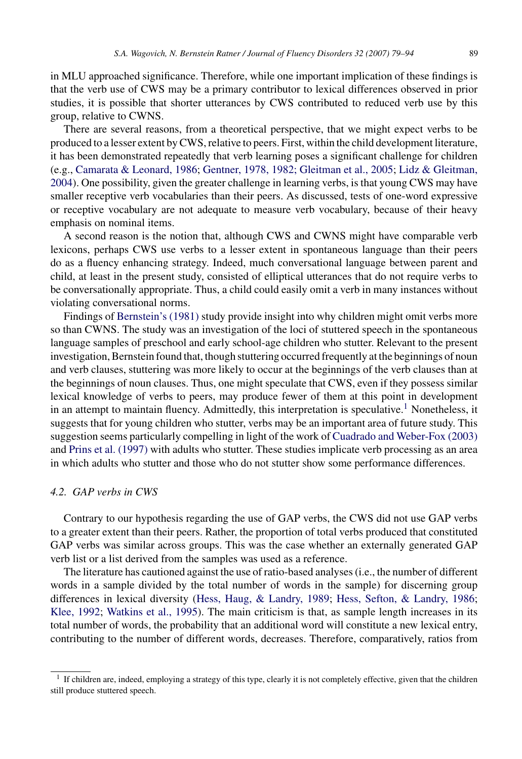in MLU approached significance. Therefore, while one important implication of these findings is that the verb use of CWS may be a primary contributor to lexical differences observed in prior studies, it is possible that shorter utterances by CWS contributed to reduced verb use by this group, relative to CWNS.

There are several reasons, from a theoretical perspective, that we might expect verbs to be produced to a lesser extent by CWS, relative to peers. First, within the child development literature, it has been demonstrated repeatedly that verb learning poses a significant challenge for children (e.g., [Camarata & Leonard, 1986;](#page-14-0) [Gentner, 1978, 1982; Gleitman et al., 2005;](#page-14-0) [Lidz & Gleitman,](#page-14-0) [2004\).](#page-14-0) One possibility, given the greater challenge in learning verbs, is that young CWS may have smaller receptive verb vocabularies than their peers. As discussed, tests of one-word expressive or receptive vocabulary are not adequate to measure verb vocabulary, because of their heavy emphasis on nominal items.

A second reason is the notion that, although CWS and CWNS might have comparable verb lexicons, perhaps CWS use verbs to a lesser extent in spontaneous language than their peers do as a fluency enhancing strategy. Indeed, much conversational language between parent and child, at least in the present study, consisted of elliptical utterances that do not require verbs to be conversationally appropriate. Thus, a child could easily omit a verb in many instances without violating conversational norms.

Findings of [Bernstein's \(1981\)](#page-13-0) study provide insight into why children might omit verbs more so than CWNS. The study was an investigation of the loci of stuttered speech in the spontaneous language samples of preschool and early school-age children who stutter. Relevant to the present investigation, Bernstein found that, though stuttering occurred frequently at the beginnings of noun and verb clauses, stuttering was more likely to occur at the beginnings of the verb clauses than at the beginnings of noun clauses. Thus, one might speculate that CWS, even if they possess similar lexical knowledge of verbs to peers, may produce fewer of them at this point in development in an attempt to maintain fluency. Admittedly, this interpretation is speculative.<sup>1</sup> Nonetheless, it suggests that for young children who stutter, verbs may be an important area of future study. This suggestion seems particularly compelling in light of the work of [Cuadrado and Weber-Fox \(2003\)](#page-14-0) and [Prins et al. \(1997\)](#page-15-0) with adults who stutter. These studies implicate verb processing as an area in which adults who stutter and those who do not stutter show some performance differences.

#### *4.2. GAP verbs in CWS*

Contrary to our hypothesis regarding the use of GAP verbs, the CWS did not use GAP verbs to a greater extent than their peers. Rather, the proportion of total verbs produced that constituted GAP verbs was similar across groups. This was the case whether an externally generated GAP verb list or a list derived from the samples was used as a reference.

The literature has cautioned against the use of ratio-based analyses (i.e., the number of different words in a sample divided by the total number of words in the sample) for discerning group differences in lexical diversity ([Hess, Haug, & Landry, 1989;](#page-14-0) [Hess, Sefton, & Landry, 1986;](#page-14-0) [Klee, 1992;](#page-14-0) [Watkins et al., 1995\).](#page-15-0) The main criticism is that, as sample length increases in its total number of words, the probability that an additional word will constitute a new lexical entry, contributing to the number of different words, decreases. Therefore, comparatively, ratios from

 $<sup>1</sup>$  If children are, indeed, employing a strategy of this type, clearly it is not completely effective, given that the children</sup> still produce stuttered speech.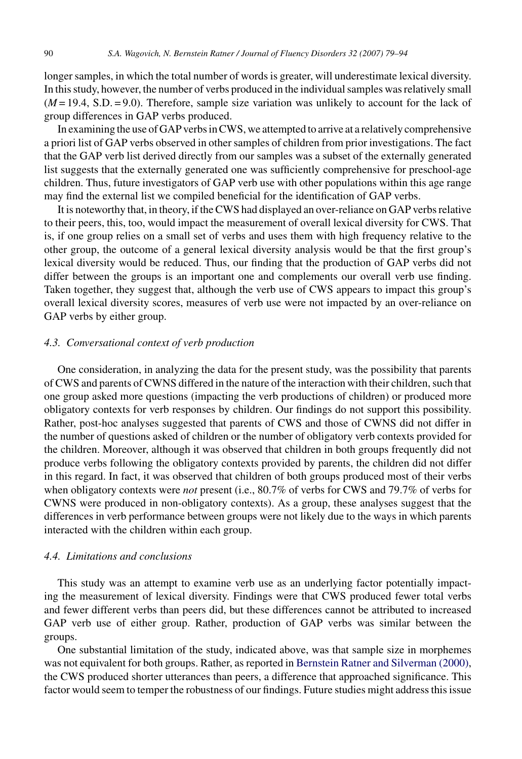longer samples, in which the total number of words is greater, will underestimate lexical diversity. In this study, however, the number of verbs produced in the individual samples was relatively small (*M* = 19.4, S.D. = 9.0). Therefore, sample size variation was unlikely to account for the lack of group differences in GAP verbs produced.

In examining the use of GAP verbs in CWS, we attempted to arrive at a relatively comprehensive a priori list of GAP verbs observed in other samples of children from prior investigations. The fact that the GAP verb list derived directly from our samples was a subset of the externally generated list suggests that the externally generated one was sufficiently comprehensive for preschool-age children. Thus, future investigators of GAP verb use with other populations within this age range may find the external list we compiled beneficial for the identification of GAP verbs.

It is noteworthy that, in theory, if the CWS had displayed an over-reliance on GAP verbs relative to their peers, this, too, would impact the measurement of overall lexical diversity for CWS. That is, if one group relies on a small set of verbs and uses them with high frequency relative to the other group, the outcome of a general lexical diversity analysis would be that the first group's lexical diversity would be reduced. Thus, our finding that the production of GAP verbs did not differ between the groups is an important one and complements our overall verb use finding. Taken together, they suggest that, although the verb use of CWS appears to impact this group's overall lexical diversity scores, measures of verb use were not impacted by an over-reliance on GAP verbs by either group.

#### *4.3. Conversational context of verb production*

One consideration, in analyzing the data for the present study, was the possibility that parents of CWS and parents of CWNS differed in the nature of the interaction with their children, such that one group asked more questions (impacting the verb productions of children) or produced more obligatory contexts for verb responses by children. Our findings do not support this possibility. Rather, post-hoc analyses suggested that parents of CWS and those of CWNS did not differ in the number of questions asked of children or the number of obligatory verb contexts provided for the children. Moreover, although it was observed that children in both groups frequently did not produce verbs following the obligatory contexts provided by parents, the children did not differ in this regard. In fact, it was observed that children of both groups produced most of their verbs when obligatory contexts were *not* present (i.e., 80.7% of verbs for CWS and 79.7% of verbs for CWNS were produced in non-obligatory contexts). As a group, these analyses suggest that the differences in verb performance between groups were not likely due to the ways in which parents interacted with the children within each group.

## *4.4. Limitations and conclusions*

This study was an attempt to examine verb use as an underlying factor potentially impacting the measurement of lexical diversity. Findings were that CWS produced fewer total verbs and fewer different verbs than peers did, but these differences cannot be attributed to increased GAP verb use of either group. Rather, production of GAP verbs was similar between the groups.

One substantial limitation of the study, indicated above, was that sample size in morphemes was not equivalent for both groups. Rather, as reported in [Bernstein Ratner and Silverman \(2000\),](#page-14-0) the CWS produced shorter utterances than peers, a difference that approached significance. This factor would seem to temper the robustness of our findings. Future studies might address this issue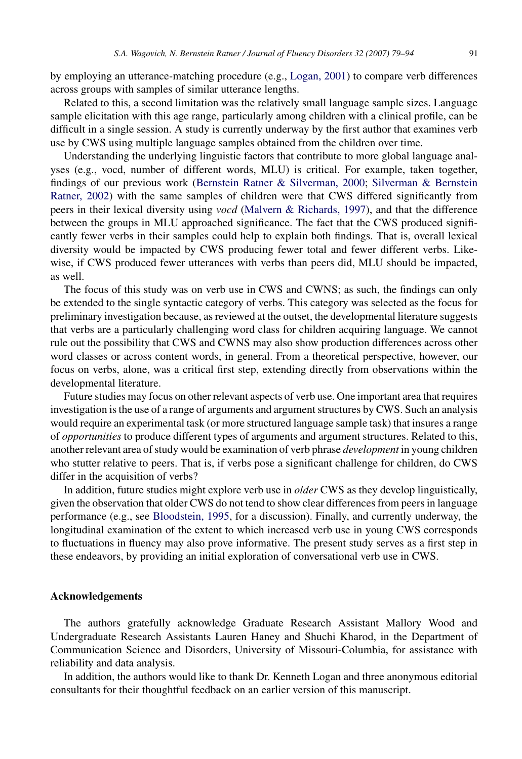by employing an utterance-matching procedure (e.g., [Logan, 2001\)](#page-14-0) to compare verb differences across groups with samples of similar utterance lengths.

Related to this, a second limitation was the relatively small language sample sizes. Language sample elicitation with this age range, particularly among children with a clinical profile, can be difficult in a single session. A study is currently underway by the first author that examines verb use by CWS using multiple language samples obtained from the children over time.

Understanding the underlying linguistic factors that contribute to more global language analyses (e.g., vocd, number of different words, MLU) is critical. For example, taken together, findings of our previous work ([Bernstein Ratner & Silverman, 2000;](#page-14-0) [Silverman & Bernstein](#page-15-0) [Ratner, 2002\)](#page-15-0) with the same samples of children were that CWS differed significantly from peers in their lexical diversity using *vocd* ([Malvern & Richards, 1997\),](#page-14-0) and that the difference between the groups in MLU approached significance. The fact that the CWS produced significantly fewer verbs in their samples could help to explain both findings. That is, overall lexical diversity would be impacted by CWS producing fewer total and fewer different verbs. Likewise, if CWS produced fewer utterances with verbs than peers did, MLU should be impacted, as well.

The focus of this study was on verb use in CWS and CWNS; as such, the findings can only be extended to the single syntactic category of verbs. This category was selected as the focus for preliminary investigation because, as reviewed at the outset, the developmental literature suggests that verbs are a particularly challenging word class for children acquiring language. We cannot rule out the possibility that CWS and CWNS may also show production differences across other word classes or across content words, in general. From a theoretical perspective, however, our focus on verbs, alone, was a critical first step, extending directly from observations within the developmental literature.

Future studies may focus on other relevant aspects of verb use. One important area that requires investigation is the use of a range of arguments and argument structures by CWS. Such an analysis would require an experimental task (or more structured language sample task) that insures a range of *opportunities* to produce different types of arguments and argument structures. Related to this, another relevant area of study would be examination of verb phrase *development* in young children who stutter relative to peers. That is, if verbs pose a significant challenge for children, do CWS differ in the acquisition of verbs?

In addition, future studies might explore verb use in *older* CWS as they develop linguistically, given the observation that older CWS do not tend to show clear differences from peers in language performance (e.g., see [Bloodstein, 1995,](#page-14-0) for a discussion). Finally, and currently underway, the longitudinal examination of the extent to which increased verb use in young CWS corresponds to fluctuations in fluency may also prove informative. The present study serves as a first step in these endeavors, by providing an initial exploration of conversational verb use in CWS.

#### **Acknowledgements**

The authors gratefully acknowledge Graduate Research Assistant Mallory Wood and Undergraduate Research Assistants Lauren Haney and Shuchi Kharod, in the Department of Communication Science and Disorders, University of Missouri-Columbia, for assistance with reliability and data analysis.

In addition, the authors would like to thank Dr. Kenneth Logan and three anonymous editorial consultants for their thoughtful feedback on an earlier version of this manuscript.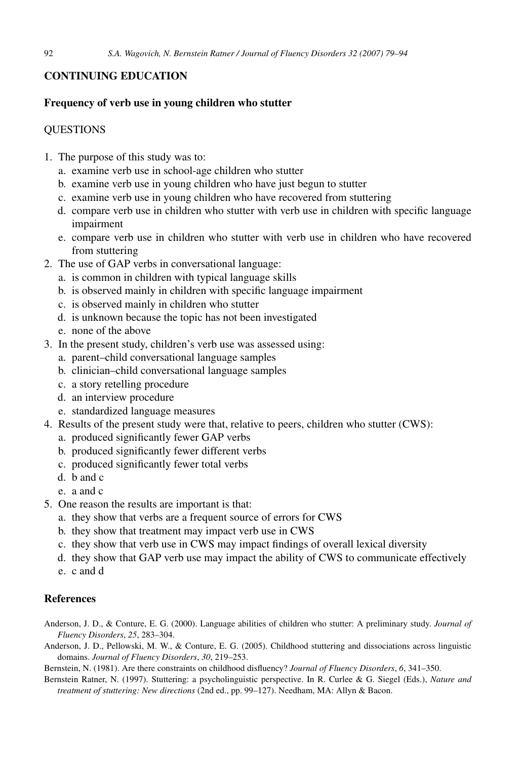# <span id="page-13-0"></span>**CONTINUING EDUCATION**

## **Frequency of verb use in young children who stutter**

## QUESTIONS

- 1. The purpose of this study was to:
	- a. examine verb use in school-age children who stutter
	- b. examine verb use in young children who have just begun to stutter
	- c. examine verb use in young children who have recovered from stuttering
	- d. compare verb use in children who stutter with verb use in children with specific language impairment
	- e. compare verb use in children who stutter with verb use in children who have recovered from stuttering
- 2. The use of GAP verbs in conversational language:
	- a. is common in children with typical language skills
	- b. is observed mainly in children with specific language impairment
	- c. is observed mainly in children who stutter
	- d. is unknown because the topic has not been investigated
	- e. none of the above
- 3. In the present study, children's verb use was assessed using:
	- a. parent–child conversational language samples
	- b. clinician–child conversational language samples
	- c. a story retelling procedure
	- d. an interview procedure
	- e. standardized language measures
- 4. Results of the present study were that, relative to peers, children who stutter (CWS):
	- a. produced significantly fewer GAP verbs
	- b. produced significantly fewer different verbs
	- c. produced significantly fewer total verbs
	- d. b and c
	- e. a and c
- 5. One reason the results are important is that:
	- a. they show that verbs are a frequent source of errors for CWS
	- b. they show that treatment may impact verb use in CWS
	- c. they show that verb use in CWS may impact findings of overall lexical diversity
	- d. they show that GAP verb use may impact the ability of CWS to communicate effectively
	- e. c and d

## **References**

- Anderson, J. D., & Conture, E. G. (2000). Language abilities of children who stutter: A preliminary study. *Journal of Fluency Disorders*, *25*, 283–304.
- Anderson, J. D., Pellowski, M. W., & Conture, E. G. (2005). Childhood stuttering and dissociations across linguistic domains. *Journal of Fluency Disorders*, *30*, 219–253.
- Bernstein, N. (1981). Are there constraints on childhood disfluency? *Journal of Fluency Disorders*, *6*, 341–350.
- Bernstein Ratner, N. (1997). Stuttering: a psycholinguistic perspective. In R. Curlee & G. Siegel (Eds.), *Nature and treatment of stuttering: New directions* (2nd ed., pp. 99–127). Needham, MA: Allyn & Bacon.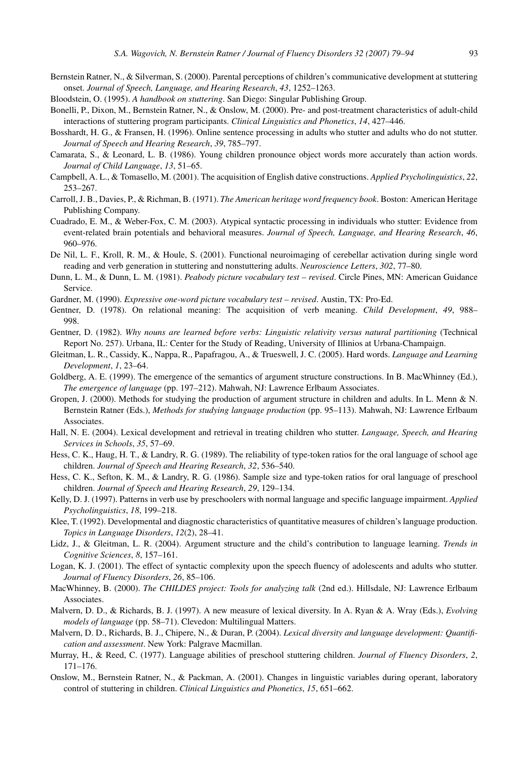- <span id="page-14-0"></span>Bernstein Ratner, N., & Silverman, S. (2000). Parental perceptions of children's communicative development at stuttering onset. *Journal of Speech, Language, and Hearing Research*, *43*, 1252–1263.
- Bloodstein, O. (1995). *A handbook on stuttering*. San Diego: Singular Publishing Group.
- Bonelli, P., Dixon, M., Bernstein Ratner, N., & Onslow, M. (2000). Pre- and post-treatment characteristics of adult-child interactions of stuttering program participants. *Clinical Linguistics and Phonetics*, *14*, 427–446.
- Bosshardt, H. G., & Fransen, H. (1996). Online sentence processing in adults who stutter and adults who do not stutter. *Journal of Speech and Hearing Research*, *39*, 785–797.
- Camarata, S., & Leonard, L. B. (1986). Young children pronounce object words more accurately than action words. *Journal of Child Language*, *13*, 51–65.
- Campbell, A. L., & Tomasello, M. (2001). The acquisition of English dative constructions. *Applied Psycholinguistics*, *22*, 253–267.
- Carroll, J. B., Davies, P., & Richman, B. (1971). *The American heritage word frequency book*. Boston: American Heritage Publishing Company.
- Cuadrado, E. M., & Weber-Fox, C. M. (2003). Atypical syntactic processing in individuals who stutter: Evidence from event-related brain potentials and behavioral measures. *Journal of Speech, Language, and Hearing Research*, *46*, 960–976.
- De Nil, L. F., Kroll, R. M., & Houle, S. (2001). Functional neuroimaging of cerebellar activation during single word reading and verb generation in stuttering and nonstuttering adults. *Neuroscience Letters*, *302*, 77–80.
- Dunn, L. M., & Dunn, L. M. (1981). *Peabody picture vocabulary test revised*. Circle Pines, MN: American Guidance Service.
- Gardner, M. (1990). *Expressive one-word picture vocabulary test revised*. Austin, TX: Pro-Ed.
- Gentner, D. (1978). On relational meaning: The acquisition of verb meaning. *Child Development*, *49*, 988– 998.
- Gentner, D. (1982). *Why nouns are learned before verbs: Linguistic relativity versus natural partitioning* (Technical Report No. 257). Urbana, IL: Center for the Study of Reading, University of Illinios at Urbana-Champaign.
- Gleitman, L. R., Cassidy, K., Nappa, R., Papafragou, A., & Trueswell, J. C. (2005). Hard words. *Language and Learning Development*, *1*, 23–64.
- Goldberg, A. E. (1999). The emergence of the semantics of argument structure constructions. In B. MacWhinney (Ed.), *The emergence of language* (pp. 197–212). Mahwah, NJ: Lawrence Erlbaum Associates.
- Gropen, J. (2000). Methods for studying the production of argument structure in children and adults. In L. Menn & N. Bernstein Ratner (Eds.), *Methods for studying language production* (pp. 95–113). Mahwah, NJ: Lawrence Erlbaum Associates.
- Hall, N. E. (2004). Lexical development and retrieval in treating children who stutter. *Language, Speech, and Hearing Services in Schools*, *35*, 57–69.
- Hess, C. K., Haug, H. T., & Landry, R. G. (1989). The reliability of type-token ratios for the oral language of school age children. *Journal of Speech and Hearing Research*, *32*, 536–540.
- Hess, C. K., Sefton, K. M., & Landry, R. G. (1986). Sample size and type-token ratios for oral language of preschool children. *Journal of Speech and Hearing Research*, *29*, 129–134.
- Kelly, D. J. (1997). Patterns in verb use by preschoolers with normal language and specific language impairment. *Applied Psycholinguistics*, *18*, 199–218.
- Klee, T. (1992). Developmental and diagnostic characteristics of quantitative measures of children's language production. *Topics in Language Disorders*, *12*(2), 28–41.
- Lidz, J., & Gleitman, L. R. (2004). Argument structure and the child's contribution to language learning. *Trends in Cognitive Sciences*, *8*, 157–161.
- Logan, K. J. (2001). The effect of syntactic complexity upon the speech fluency of adolescents and adults who stutter. *Journal of Fluency Disorders*, *26*, 85–106.
- MacWhinney, B. (2000). *The CHILDES project: Tools for analyzing talk* (2nd ed.). Hillsdale, NJ: Lawrence Erlbaum Associates.
- Malvern, D. D., & Richards, B. J. (1997). A new measure of lexical diversity. In A. Ryan & A. Wray (Eds.), *Evolving models of language* (pp. 58–71). Clevedon: Multilingual Matters.
- Malvern, D. D., Richards, B. J., Chipere, N., & Duran, P. (2004). *Lexical diversity and language development: Quantification and assessment*. New York: Palgrave Macmillan.
- Murray, H., & Reed, C. (1977). Language abilities of preschool stuttering children. *Journal of Fluency Disorders*, *2*, 171–176.
- Onslow, M., Bernstein Ratner, N., & Packman, A. (2001). Changes in linguistic variables during operant, laboratory control of stuttering in children. *Clinical Linguistics and Phonetics*, *15*, 651–662.